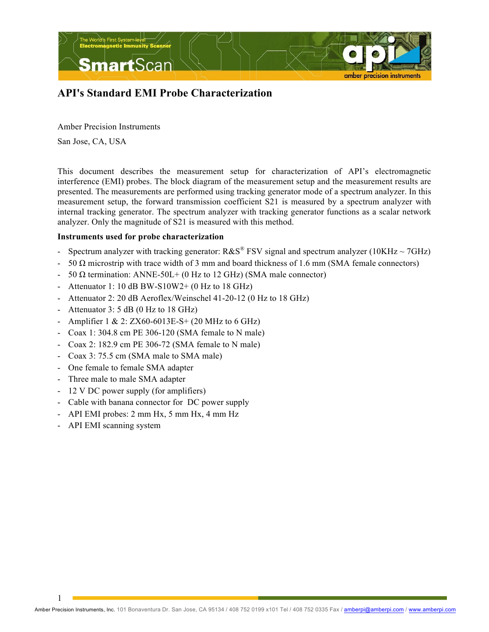

# **API's Standard EMI Probe Characterization**

Amber Precision Instruments

San Jose, CA, USA

This document describes the measurement setup for characterization of API's electromagnetic interference (EMI) probes. The block diagram of the measurement setup and the measurement results are presented. The measurements are performed using tracking generator mode of a spectrum analyzer. In this measurement setup, the forward transmission coefficient S21 is measured by a spectrum analyzer with internal tracking generator. The spectrum analyzer with tracking generator functions as a scalar network analyzer. Only the magnitude of S21 is measured with this method.

### **Instruments used for probe characterization**

- Spectrum analyzer with tracking generator:  $R\&S^{\circledast}$  FSV signal and spectrum analyzer (10KHz  $\sim$  7GHz)
- 50 Ω microstrip with trace width of 3 mm and board thickness of 1.6 mm (SMA female connectors)
- 50  $\Omega$  termination: ANNE-50L+ (0 Hz to 12 GHz) (SMA male connector)
- Attenuator 1: 10 dB BW-S10W2+ (0 Hz to 18 GHz)
- Attenuator 2: 20 dB Aeroflex/Weinschel 41-20-12 (0 Hz to 18 GHz)
- Attenuator  $3: 5$  dB (0 Hz to 18 GHz)
- Amplifier 1 & 2: ZX60-6013E-S+ (20 MHz to 6 GHz)
- Coax 1: 304.8 cm PE 306-120 (SMA female to N male)
- Coax 2: 182.9 cm PE 306-72 (SMA female to N male)
- Coax 3: 75.5 cm (SMA male to SMA male)
- One female to female SMA adapter
- Three male to male SMA adapter
- 12 V DC power supply (for amplifiers)
- Cable with banana connector for DC power supply
- API EMI probes: 2 mm Hx, 5 mm Hx, 4 mm Hz
- API EMI scanning system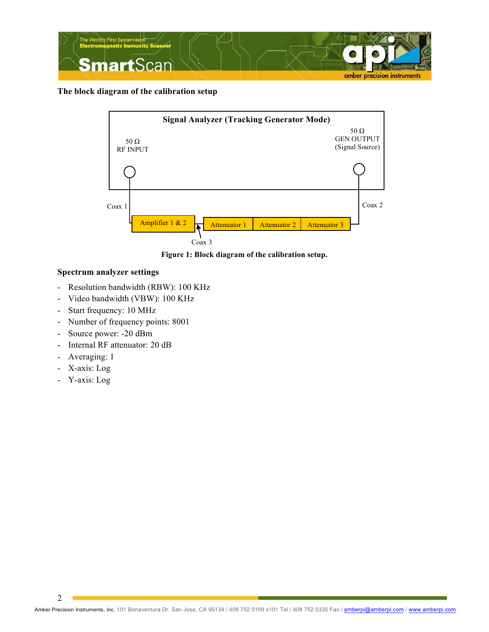

**The block diagram of the calibration setup**



**Figure 1: Block diagram of the calibration setup.**

## **Spectrum analyzer settings**

- Resolution bandwidth (RBW): 100 KHz
- Video bandwidth (VBW): 100 KHz
- Start frequency: 10 MHz
- Number of frequency points: 8001
- Source power: -20 dBm
- Internal RF attenuator: 20 dB
- Averaging: 1
- X-axis: Log
- Y-axis: Log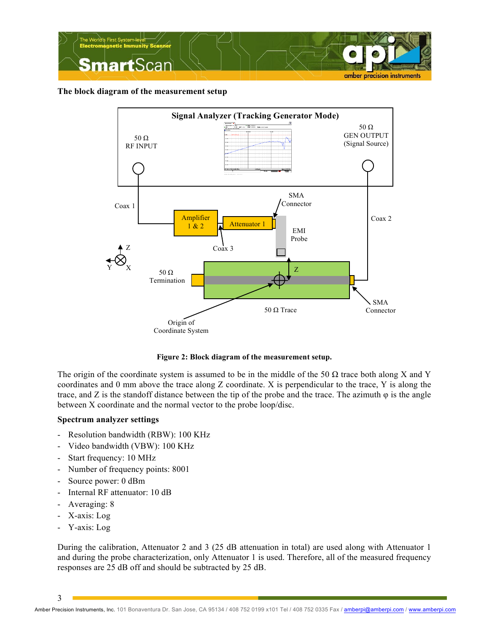

**The block diagram of the measurement setup**



**Figure 2: Block diagram of the measurement setup.**

The origin of the coordinate system is assumed to be in the middle of the 50  $\Omega$  trace both along X and Y coordinates and 0 mm above the trace along Z coordinate. X is perpendicular to the trace, Y is along the trace, and Z is the standoff distance between the tip of the probe and the trace. The azimuth  $\varphi$  is the angle between X coordinate and the normal vector to the probe loop/disc.

## **Spectrum analyzer settings**

- Resolution bandwidth (RBW): 100 KHz
- Video bandwidth (VBW): 100 KHz
- Start frequency: 10 MHz
- Number of frequency points: 8001
- Source power: 0 dBm
- Internal RF attenuator: 10 dB
- Averaging: 8
- X-axis: Log
- Y-axis: Log

During the calibration, Attenuator 2 and 3 (25 dB attenuation in total) are used along with Attenuator 1 and during the probe characterization, only Attenuator 1 is used. Therefore, all of the measured frequency responses are 25 dB off and should be subtracted by 25 dB.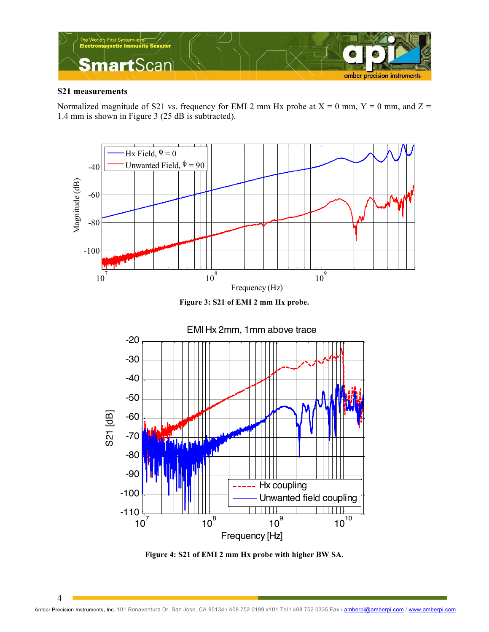

#### **S21 measurements**

Normalized magnitude of S21 vs. frequency for EMI 2 mm Hx probe at  $X = 0$  mm,  $Y = 0$  mm, and  $Z =$ 1.4 mm is shown in Figure 3 (25 dB is subtracted).



**Figure 3: S21 of EMI 2 mm Hx probe.**



**Figure 4: S21 of EMI 2 mm Hx probe with higher BW SA.**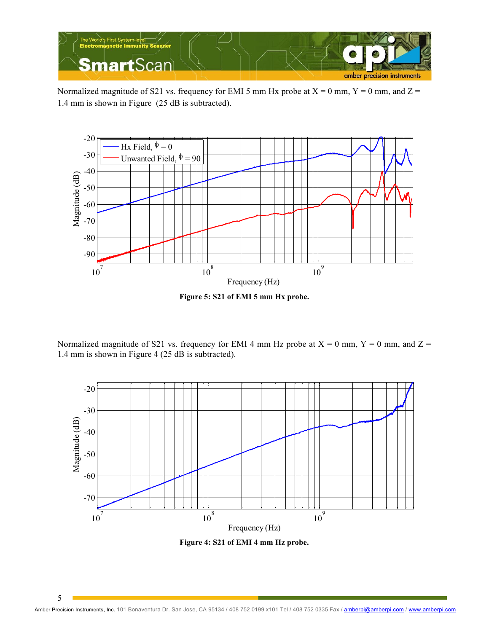

Normalized magnitude of S21 vs. frequency for EMI 5 mm Hx probe at  $X = 0$  mm,  $Y = 0$  mm, and  $Z =$ 1.4 mm is shown in Figure (25 dB is subtracted).



**Figure 5: S21 of EMI 5 mm Hx probe.**

Normalized magnitude of S21 vs. frequency for EMI 4 mm Hz probe at  $X = 0$  mm,  $Y = 0$  mm, and  $Z = 0$ 1.4 mm is shown in Figure 4 (25 dB is subtracted).



**Figure 4: S21 of EMI 4 mm Hz probe.**